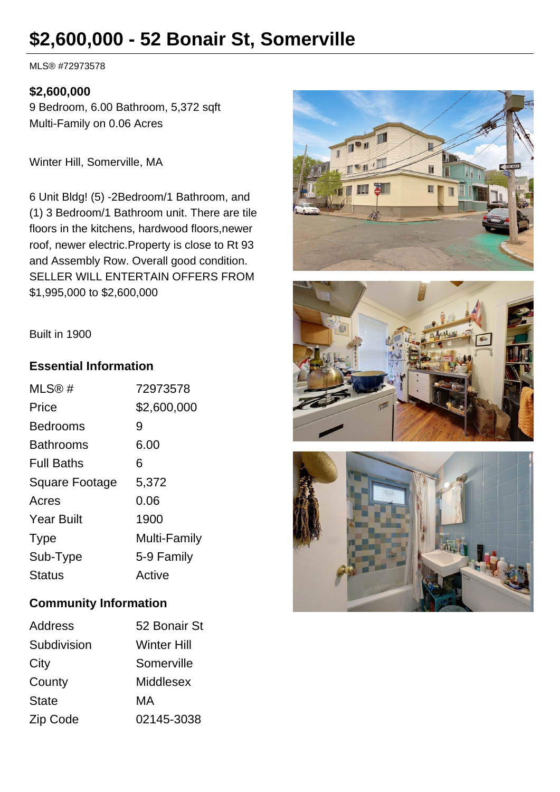# **\$2,600,000 - 52 Bonair St, Somerville**

MLS® #72973578

#### **\$2,600,000**

9 Bedroom, 6.00 Bathroom, 5,372 sqft Multi-Family on 0.06 Acres

Winter Hill, Somerville, MA

6 Unit Bldg! (5) -2Bedroom/1 Bathroom, and (1) 3 Bedroom/1 Bathroom unit. There are tile floors in the kitchens, hardwood floors,newer roof, newer electric.Property is close to Rt 93 and Assembly Row. Overall good condition. SELLER WILL ENTERTAIN OFFERS FROM \$1,995,000 to \$2,600,000







Built in 1900

### **Essential Information**

| MLS@#                 | 72973578     |
|-----------------------|--------------|
| Price                 | \$2,600,000  |
| <b>Bedrooms</b>       | 9            |
| <b>Bathrooms</b>      | 6.00         |
| <b>Full Baths</b>     | 6            |
| <b>Square Footage</b> | 5,372        |
| Acres                 | 0.06         |
| <b>Year Built</b>     | 1900         |
| <b>Type</b>           | Multi-Family |
| Sub-Type              | 5-9 Family   |
| <b>Status</b>         | Active       |

#### **Community Information**

| <b>Address</b> | 52 Bonair St |
|----------------|--------------|
| Subdivision    | Winter Hill  |
| City           | Somerville   |
| County         | Middlesex    |
| <b>State</b>   | МA           |
| Zip Code       | 02145-3038   |